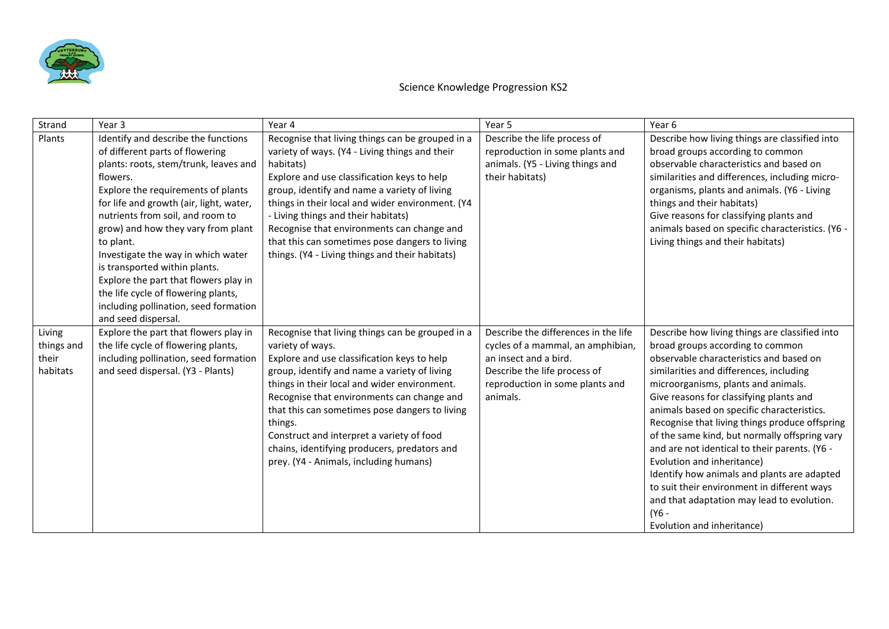

| Strand                                    | Year <sub>3</sub>                                                                                                                                                                                                                                                                                                                                                                                                                                                                                                          | Year 4                                                                                                                                                                                                                                                                                                                                                                                                                                                                | Year 5                                                                                                                                                                            | Year 6                                                                                                                                                                                                                                                                                                                                                                                                                                                                                                                                                                                                                                                                        |
|-------------------------------------------|----------------------------------------------------------------------------------------------------------------------------------------------------------------------------------------------------------------------------------------------------------------------------------------------------------------------------------------------------------------------------------------------------------------------------------------------------------------------------------------------------------------------------|-----------------------------------------------------------------------------------------------------------------------------------------------------------------------------------------------------------------------------------------------------------------------------------------------------------------------------------------------------------------------------------------------------------------------------------------------------------------------|-----------------------------------------------------------------------------------------------------------------------------------------------------------------------------------|-------------------------------------------------------------------------------------------------------------------------------------------------------------------------------------------------------------------------------------------------------------------------------------------------------------------------------------------------------------------------------------------------------------------------------------------------------------------------------------------------------------------------------------------------------------------------------------------------------------------------------------------------------------------------------|
| Plants                                    | Identify and describe the functions<br>of different parts of flowering<br>plants: roots, stem/trunk, leaves and<br>flowers.<br>Explore the requirements of plants<br>for life and growth (air, light, water,<br>nutrients from soil, and room to<br>grow) and how they vary from plant<br>to plant.<br>Investigate the way in which water<br>is transported within plants.<br>Explore the part that flowers play in<br>the life cycle of flowering plants,<br>including pollination, seed formation<br>and seed dispersal. | Recognise that living things can be grouped in a<br>variety of ways. (Y4 - Living things and their<br>habitats)<br>Explore and use classification keys to help<br>group, identify and name a variety of living<br>things in their local and wider environment. (Y4<br>- Living things and their habitats)<br>Recognise that environments can change and<br>that this can sometimes pose dangers to living<br>things. (Y4 - Living things and their habitats)          | Describe the life process of<br>reproduction in some plants and<br>animals. (Y5 - Living things and<br>their habitats)                                                            | Describe how living things are classified into<br>broad groups according to common<br>observable characteristics and based on<br>similarities and differences, including micro-<br>organisms, plants and animals. (Y6 - Living<br>things and their habitats)<br>Give reasons for classifying plants and<br>animals based on specific characteristics. (Y6 -<br>Living things and their habitats)                                                                                                                                                                                                                                                                              |
| Living<br>things and<br>their<br>habitats | Explore the part that flowers play in<br>the life cycle of flowering plants,<br>including pollination, seed formation<br>and seed dispersal. (Y3 - Plants)                                                                                                                                                                                                                                                                                                                                                                 | Recognise that living things can be grouped in a<br>variety of ways.<br>Explore and use classification keys to help<br>group, identify and name a variety of living<br>things in their local and wider environment.<br>Recognise that environments can change and<br>that this can sometimes pose dangers to living<br>things.<br>Construct and interpret a variety of food<br>chains, identifying producers, predators and<br>prey. (Y4 - Animals, including humans) | Describe the differences in the life<br>cycles of a mammal, an amphibian,<br>an insect and a bird.<br>Describe the life process of<br>reproduction in some plants and<br>animals. | Describe how living things are classified into<br>broad groups according to common<br>observable characteristics and based on<br>similarities and differences, including<br>microorganisms, plants and animals.<br>Give reasons for classifying plants and<br>animals based on specific characteristics.<br>Recognise that living things produce offspring<br>of the same kind, but normally offspring vary<br>and are not identical to their parents. (Y6 -<br>Evolution and inheritance)<br>Identify how animals and plants are adapted<br>to suit their environment in different ways<br>and that adaptation may lead to evolution.<br>(Y6 -<br>Evolution and inheritance) |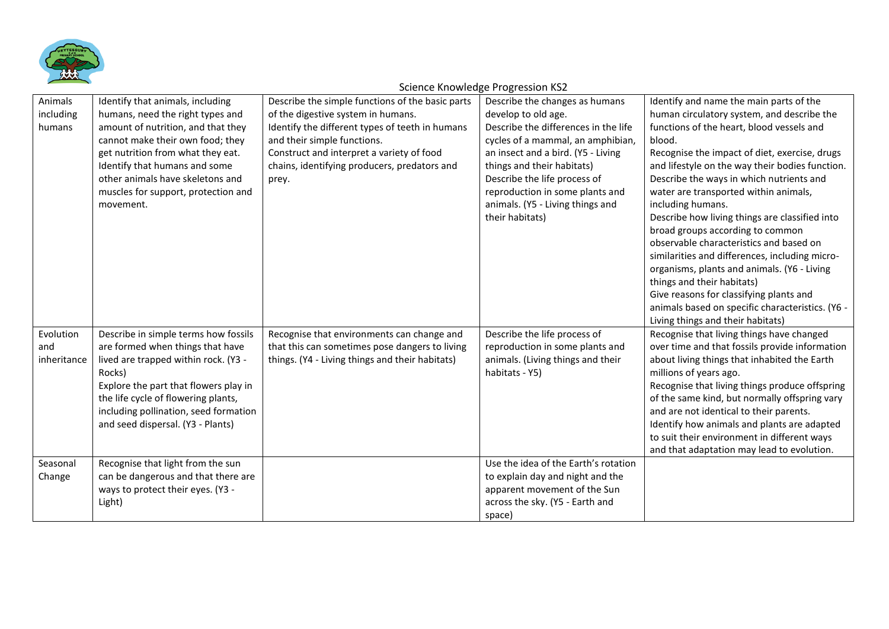

| Animals     | Identify that animals, including      | Describe the simple functions of the basic parts | Describe the changes as humans       | Identify and name the main parts of the          |
|-------------|---------------------------------------|--------------------------------------------------|--------------------------------------|--------------------------------------------------|
| including   | humans, need the right types and      | of the digestive system in humans.               | develop to old age.                  | human circulatory system, and describe the       |
| humans      | amount of nutrition, and that they    | Identify the different types of teeth in humans  | Describe the differences in the life | functions of the heart, blood vessels and        |
|             | cannot make their own food; they      | and their simple functions.                      | cycles of a mammal, an amphibian,    | blood.                                           |
|             | get nutrition from what they eat.     | Construct and interpret a variety of food        | an insect and a bird. (Y5 - Living   | Recognise the impact of diet, exercise, drugs    |
|             | Identify that humans and some         | chains, identifying producers, predators and     | things and their habitats)           | and lifestyle on the way their bodies function.  |
|             | other animals have skeletons and      | prey.                                            | Describe the life process of         | Describe the ways in which nutrients and         |
|             | muscles for support, protection and   |                                                  | reproduction in some plants and      | water are transported within animals,            |
|             | movement.                             |                                                  | animals. (Y5 - Living things and     | including humans.                                |
|             |                                       |                                                  | their habitats)                      | Describe how living things are classified into   |
|             |                                       |                                                  |                                      | broad groups according to common                 |
|             |                                       |                                                  |                                      | observable characteristics and based on          |
|             |                                       |                                                  |                                      | similarities and differences, including micro-   |
|             |                                       |                                                  |                                      | organisms, plants and animals. (Y6 - Living      |
|             |                                       |                                                  |                                      | things and their habitats)                       |
|             |                                       |                                                  |                                      | Give reasons for classifying plants and          |
|             |                                       |                                                  |                                      | animals based on specific characteristics. (Y6 - |
|             |                                       |                                                  |                                      | Living things and their habitats)                |
| Evolution   | Describe in simple terms how fossils  | Recognise that environments can change and       | Describe the life process of         | Recognise that living things have changed        |
| and         | are formed when things that have      | that this can sometimes pose dangers to living   | reproduction in some plants and      | over time and that fossils provide information   |
| inheritance | lived are trapped within rock. (Y3 -  | things. (Y4 - Living things and their habitats)  | animals. (Living things and their    | about living things that inhabited the Earth     |
|             | Rocks)                                |                                                  | habitats - Y5)                       | millions of years ago.                           |
|             | Explore the part that flowers play in |                                                  |                                      | Recognise that living things produce offspring   |
|             | the life cycle of flowering plants,   |                                                  |                                      | of the same kind, but normally offspring vary    |
|             | including pollination, seed formation |                                                  |                                      | and are not identical to their parents.          |
|             | and seed dispersal. (Y3 - Plants)     |                                                  |                                      | Identify how animals and plants are adapted      |
|             |                                       |                                                  |                                      | to suit their environment in different ways      |
|             |                                       |                                                  |                                      | and that adaptation may lead to evolution.       |
| Seasonal    | Recognise that light from the sun     |                                                  | Use the idea of the Earth's rotation |                                                  |
| Change      | can be dangerous and that there are   |                                                  | to explain day and night and the     |                                                  |
|             | ways to protect their eyes. (Y3 -     |                                                  | apparent movement of the Sun         |                                                  |
|             | Light)                                |                                                  | across the sky. (Y5 - Earth and      |                                                  |
|             |                                       |                                                  | space)                               |                                                  |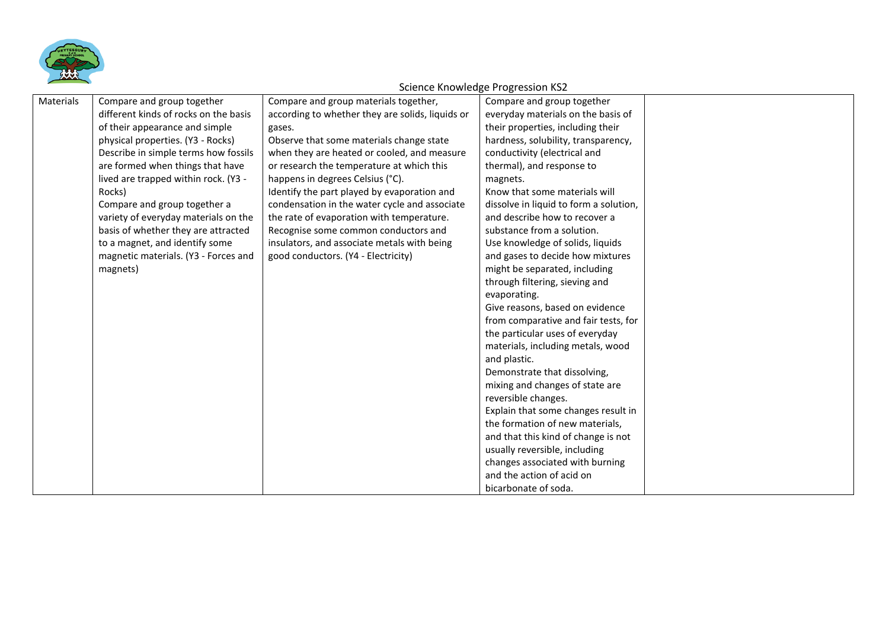

| Materials | Compare and group together            | Compare and group materials together,            | Compare and group together             |  |
|-----------|---------------------------------------|--------------------------------------------------|----------------------------------------|--|
|           | different kinds of rocks on the basis | according to whether they are solids, liquids or | everyday materials on the basis of     |  |
|           | of their appearance and simple        | gases.                                           | their properties, including their      |  |
|           | physical properties. (Y3 - Rocks)     | Observe that some materials change state         | hardness, solubility, transparency,    |  |
|           | Describe in simple terms how fossils  | when they are heated or cooled, and measure      | conductivity (electrical and           |  |
|           | are formed when things that have      | or research the temperature at which this        | thermal), and response to              |  |
|           | lived are trapped within rock. (Y3 -  | happens in degrees Celsius (°C).                 | magnets.                               |  |
|           | Rocks)                                | Identify the part played by evaporation and      | Know that some materials will          |  |
|           | Compare and group together a          | condensation in the water cycle and associate    | dissolve in liquid to form a solution, |  |
|           | variety of everyday materials on the  | the rate of evaporation with temperature.        | and describe how to recover a          |  |
|           | basis of whether they are attracted   | Recognise some common conductors and             | substance from a solution.             |  |
|           | to a magnet, and identify some        | insulators, and associate metals with being      | Use knowledge of solids, liquids       |  |
|           | magnetic materials. (Y3 - Forces and  | good conductors. (Y4 - Electricity)              | and gases to decide how mixtures       |  |
|           | magnets)                              |                                                  | might be separated, including          |  |
|           |                                       |                                                  | through filtering, sieving and         |  |
|           |                                       |                                                  | evaporating.                           |  |
|           |                                       |                                                  | Give reasons, based on evidence        |  |
|           |                                       |                                                  | from comparative and fair tests, for   |  |
|           |                                       |                                                  | the particular uses of everyday        |  |
|           |                                       |                                                  | materials, including metals, wood      |  |
|           |                                       |                                                  | and plastic.                           |  |
|           |                                       |                                                  | Demonstrate that dissolving,           |  |
|           |                                       |                                                  | mixing and changes of state are        |  |
|           |                                       |                                                  | reversible changes.                    |  |
|           |                                       |                                                  | Explain that some changes result in    |  |
|           |                                       |                                                  | the formation of new materials,        |  |
|           |                                       |                                                  | and that this kind of change is not    |  |
|           |                                       |                                                  | usually reversible, including          |  |
|           |                                       |                                                  | changes associated with burning        |  |
|           |                                       |                                                  | and the action of acid on              |  |
|           |                                       |                                                  | bicarbonate of soda.                   |  |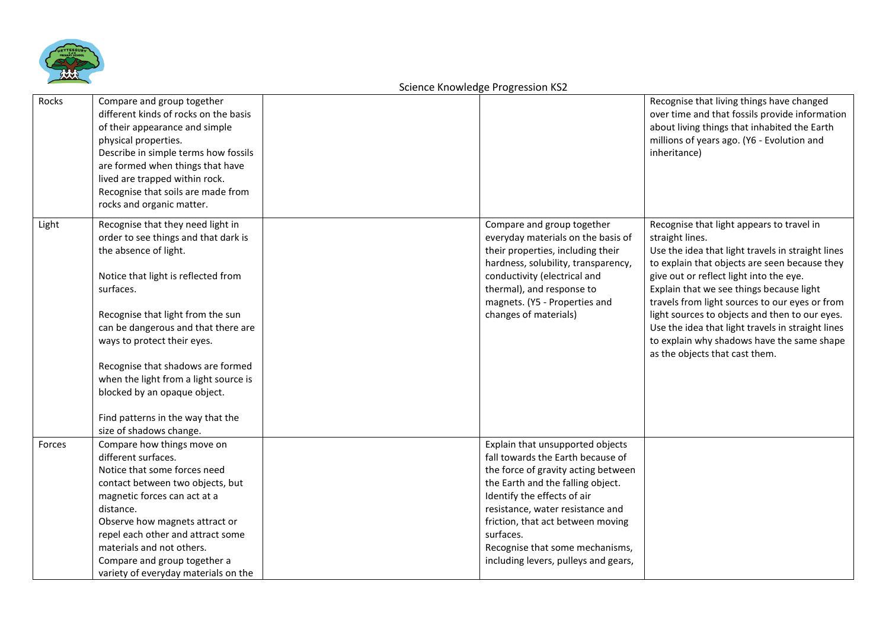

| Rocks  | Compare and group together<br>different kinds of rocks on the basis<br>of their appearance and simple<br>physical properties.<br>Describe in simple terms how fossils<br>are formed when things that have<br>lived are trapped within rock.<br>Recognise that soils are made from<br>rocks and organic matter.                                                                  |                                                                                                                                                                                                                                                                                                                                                   | Recognise that living things have changed<br>over time and that fossils provide information<br>about living things that inhabited the Earth<br>millions of years ago. (Y6 - Evolution and<br>inheritance)                                                                                                                                                                                                                                                                                          |
|--------|---------------------------------------------------------------------------------------------------------------------------------------------------------------------------------------------------------------------------------------------------------------------------------------------------------------------------------------------------------------------------------|---------------------------------------------------------------------------------------------------------------------------------------------------------------------------------------------------------------------------------------------------------------------------------------------------------------------------------------------------|----------------------------------------------------------------------------------------------------------------------------------------------------------------------------------------------------------------------------------------------------------------------------------------------------------------------------------------------------------------------------------------------------------------------------------------------------------------------------------------------------|
| Light  | Recognise that they need light in<br>order to see things and that dark is<br>the absence of light.<br>Notice that light is reflected from<br>surfaces.<br>Recognise that light from the sun<br>can be dangerous and that there are<br>ways to protect their eyes.<br>Recognise that shadows are formed<br>when the light from a light source is<br>blocked by an opaque object. | Compare and group together<br>everyday materials on the basis of<br>their properties, including their<br>hardness, solubility, transparency,<br>conductivity (electrical and<br>thermal), and response to<br>magnets. (Y5 - Properties and<br>changes of materials)                                                                               | Recognise that light appears to travel in<br>straight lines.<br>Use the idea that light travels in straight lines<br>to explain that objects are seen because they<br>give out or reflect light into the eye.<br>Explain that we see things because light<br>travels from light sources to our eyes or from<br>light sources to objects and then to our eyes.<br>Use the idea that light travels in straight lines<br>to explain why shadows have the same shape<br>as the objects that cast them. |
|        | Find patterns in the way that the<br>size of shadows change.                                                                                                                                                                                                                                                                                                                    |                                                                                                                                                                                                                                                                                                                                                   |                                                                                                                                                                                                                                                                                                                                                                                                                                                                                                    |
| Forces | Compare how things move on<br>different surfaces.<br>Notice that some forces need<br>contact between two objects, but<br>magnetic forces can act at a<br>distance.<br>Observe how magnets attract or<br>repel each other and attract some<br>materials and not others.<br>Compare and group together a<br>variety of everyday materials on the                                  | Explain that unsupported objects<br>fall towards the Earth because of<br>the force of gravity acting between<br>the Earth and the falling object.<br>Identify the effects of air<br>resistance, water resistance and<br>friction, that act between moving<br>surfaces.<br>Recognise that some mechanisms,<br>including levers, pulleys and gears, |                                                                                                                                                                                                                                                                                                                                                                                                                                                                                                    |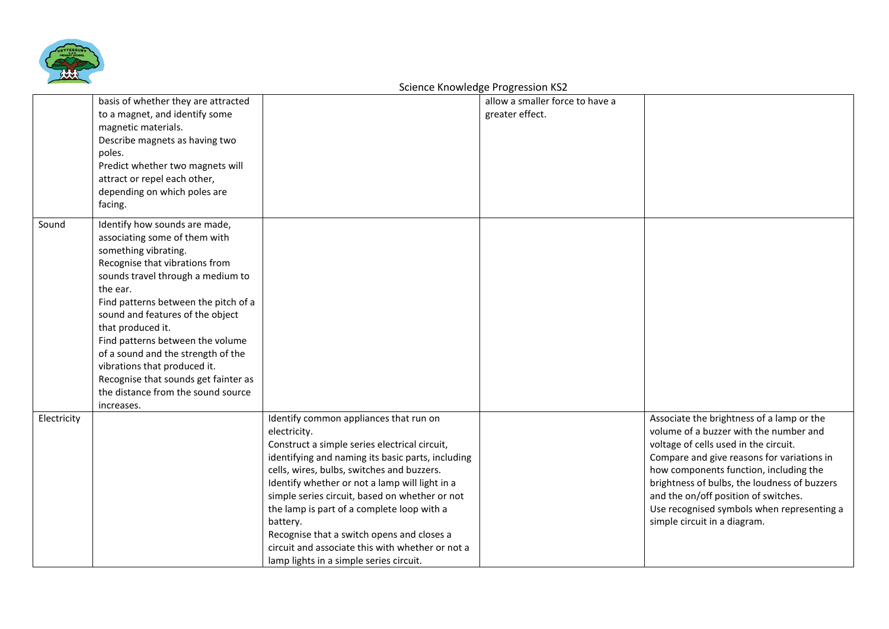

|             | basis of whether they are attracted<br>to a magnet, and identify some<br>magnetic materials.<br>Describe magnets as having two<br>poles.<br>Predict whether two magnets will<br>attract or repel each other,                                                                                                                                                                                                                                                                     |                                                                                                                                                                                                                                                                                                                                                                                                                                                                                                                       | allow a smaller force to have a<br>greater effect. |                                                                                                                                                                                                                                                                                                                                                                                            |
|-------------|----------------------------------------------------------------------------------------------------------------------------------------------------------------------------------------------------------------------------------------------------------------------------------------------------------------------------------------------------------------------------------------------------------------------------------------------------------------------------------|-----------------------------------------------------------------------------------------------------------------------------------------------------------------------------------------------------------------------------------------------------------------------------------------------------------------------------------------------------------------------------------------------------------------------------------------------------------------------------------------------------------------------|----------------------------------------------------|--------------------------------------------------------------------------------------------------------------------------------------------------------------------------------------------------------------------------------------------------------------------------------------------------------------------------------------------------------------------------------------------|
|             | depending on which poles are<br>facing.                                                                                                                                                                                                                                                                                                                                                                                                                                          |                                                                                                                                                                                                                                                                                                                                                                                                                                                                                                                       |                                                    |                                                                                                                                                                                                                                                                                                                                                                                            |
| Sound       | Identify how sounds are made,<br>associating some of them with<br>something vibrating.<br>Recognise that vibrations from<br>sounds travel through a medium to<br>the ear.<br>Find patterns between the pitch of a<br>sound and features of the object<br>that produced it.<br>Find patterns between the volume<br>of a sound and the strength of the<br>vibrations that produced it.<br>Recognise that sounds get fainter as<br>the distance from the sound source<br>increases. |                                                                                                                                                                                                                                                                                                                                                                                                                                                                                                                       |                                                    |                                                                                                                                                                                                                                                                                                                                                                                            |
| Electricity |                                                                                                                                                                                                                                                                                                                                                                                                                                                                                  | Identify common appliances that run on<br>electricity.<br>Construct a simple series electrical circuit,<br>identifying and naming its basic parts, including<br>cells, wires, bulbs, switches and buzzers.<br>Identify whether or not a lamp will light in a<br>simple series circuit, based on whether or not<br>the lamp is part of a complete loop with a<br>battery.<br>Recognise that a switch opens and closes a<br>circuit and associate this with whether or not a<br>lamp lights in a simple series circuit. |                                                    | Associate the brightness of a lamp or the<br>volume of a buzzer with the number and<br>voltage of cells used in the circuit.<br>Compare and give reasons for variations in<br>how components function, including the<br>brightness of bulbs, the loudness of buzzers<br>and the on/off position of switches.<br>Use recognised symbols when representing a<br>simple circuit in a diagram. |